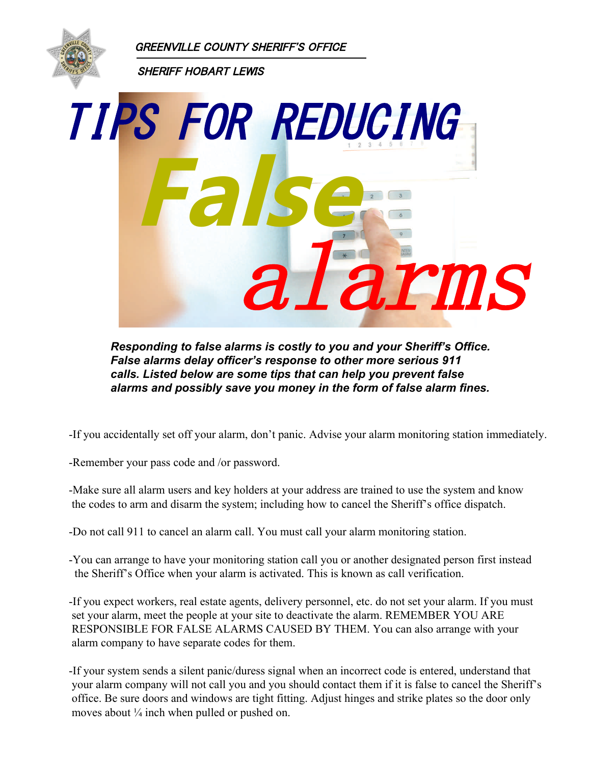GREENVILLE COUNTY SHERIFF'S OFFICE



SHERIFF HOBART LEWIS



*Responding to false alarms is costly to you and your Sheriff's Office. False alarms delay officer's response to other more serious 911 calls. Listed below are some tips that can help you prevent false alarms and possibly save you money in the form of false alarm fines.*

-If you accidentally set off your alarm, don't panic. Advise your alarm monitoring station immediately.

-Remember your pass code and /or password.

-Make sure all alarm users and key holders at your address are trained to use the system and know the codes to arm and disarm the system; including how to cancel the Sheriff's office dispatch.

-Do not call 911 to cancel an alarm call. You must call your alarm monitoring station.

-You can arrange to have your monitoring station call you or another designated person first instead the Sheriff's Office when your alarm is activated. This is known as call verification.

-If you expect workers, real estate agents, delivery personnel, etc. do not set your alarm. If you must set your alarm, meet the people at your site to deactivate the alarm. REMEMBER YOU ARE RESPONSIBLE FOR FALSE ALARMS CAUSED BY THEM. You can also arrange with your alarm company to have separate codes for them.

-If your system sends a silent panic/duress signal when an incorrect code is entered, understand that your alarm company will not call you and you should contact them if it is false to cancel the Sheriff's office. Be sure doors and windows are tight fitting. Adjust hinges and strike plates so the door only moves about ¼ inch when pulled or pushed on.